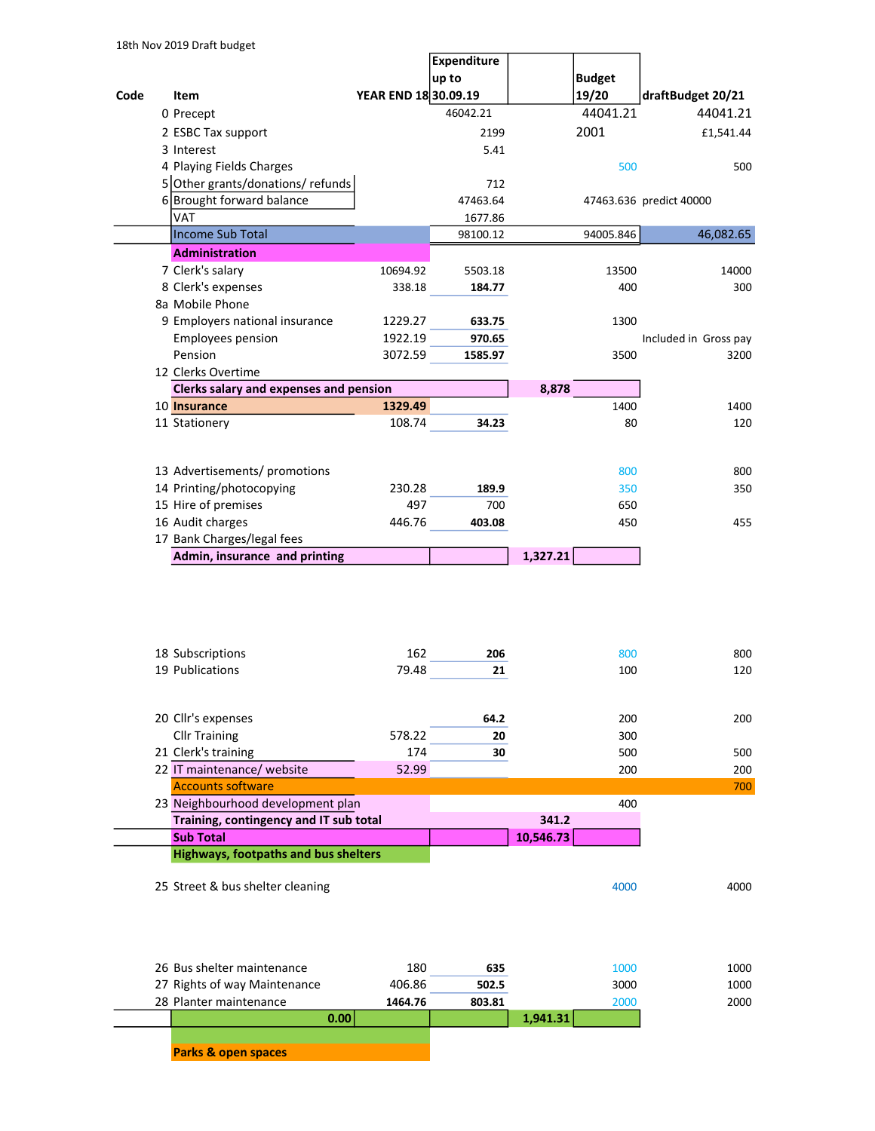|      |                                             |                      | Expenditure |           |               |                         |
|------|---------------------------------------------|----------------------|-------------|-----------|---------------|-------------------------|
|      |                                             |                      | up to       |           | <b>Budget</b> |                         |
| Code | Item                                        | YEAR END 18 30.09.19 |             |           | 19/20         | draftBudget 20/21       |
|      | 0 Precept                                   |                      | 46042.21    |           | 44041.21      | 44041.21                |
|      | 2 ESBC Tax support                          |                      | 2199        |           | 2001          | £1,541.44               |
|      | 3 Interest                                  |                      | 5.41        |           |               |                         |
|      | 4 Playing Fields Charges                    |                      |             |           | 500           | 500                     |
|      | 5 Other grants/donations/ refunds           |                      | 712         |           |               |                         |
|      | 6 Brought forward balance                   |                      | 47463.64    |           |               | 47463.636 predict 40000 |
|      | VAT                                         |                      | 1677.86     |           |               |                         |
|      | Income Sub Total                            |                      | 98100.12    |           | 94005.846     | 46,082.65               |
|      | <b>Administration</b>                       |                      |             |           |               |                         |
|      | 7 Clerk's salary                            | 10694.92             | 5503.18     |           | 13500         | 14000                   |
|      | 8 Clerk's expenses                          | 338.18               | 184.77      |           | 400           | 300                     |
|      | 8a Mobile Phone                             |                      |             |           |               |                         |
|      | 9 Employers national insurance              | 1229.27              | 633.75      |           | 1300          |                         |
|      | <b>Employees pension</b>                    | 1922.19              | 970.65      |           |               | Included in Gross pay   |
|      | Pension                                     | 3072.59              | 1585.97     |           | 3500          | 3200                    |
|      | 12 Clerks Overtime                          |                      |             |           |               |                         |
|      | Clerks salary and expenses and pension      |                      |             | 8,878     |               |                         |
|      | 10 Insurance                                | 1329.49              |             |           | 1400          | 1400                    |
|      | 11 Stationery                               | 108.74               | 34.23       |           | 80            | 120                     |
|      |                                             |                      |             |           |               |                         |
|      |                                             |                      |             |           |               |                         |
|      | 13 Advertisements/ promotions               |                      |             |           | 800           | 800                     |
|      | 14 Printing/photocopying                    | 230.28               | 189.9       |           | 350           | 350                     |
|      | 15 Hire of premises                         | 497                  | 700         |           | 650           |                         |
|      | 16 Audit charges                            | 446.76               | 403.08      |           | 450           | 455                     |
|      | 17 Bank Charges/legal fees                  |                      |             |           |               |                         |
|      | Admin, insurance and printing               |                      |             | 1,327.21  |               |                         |
|      |                                             |                      |             |           |               |                         |
|      |                                             |                      |             |           |               |                         |
|      |                                             |                      |             |           |               |                         |
|      |                                             |                      |             |           |               |                         |
|      |                                             |                      |             |           |               |                         |
|      | 18 Subscriptions                            | 162                  | 206         |           | 800           | 800                     |
|      | 19 Publications                             | 79.48                | 21          |           | 100           | 120                     |
|      |                                             |                      |             |           |               |                         |
|      |                                             |                      |             |           |               |                         |
|      | 20 Cllr's expenses                          |                      | 64.2        |           | 200           | 200                     |
|      | <b>Cllr Training</b>                        | 578.22               | 20          |           | 300           |                         |
|      | 21 Clerk's training                         | 174                  | 30          |           | 500           | 500                     |
|      | 22 IT maintenance/ website                  | 52.99                |             |           | 200           | 200                     |
|      | <b>Accounts software</b>                    |                      |             |           |               | 700                     |
|      | 23 Neighbourhood development plan           |                      |             |           | 400           |                         |
|      | Training, contingency and IT sub total      |                      |             | 341.2     |               |                         |
|      | <b>Sub Total</b>                            |                      |             | 10,546.73 |               |                         |
|      | <b>Highways, footpaths and bus shelters</b> |                      |             |           |               |                         |
|      |                                             |                      |             |           |               |                         |
|      | 25 Street & bus shelter cleaning            |                      |             |           | 4000          | 4000                    |
|      |                                             |                      |             |           |               |                         |
|      |                                             |                      |             |           |               |                         |
|      |                                             |                      |             |           |               |                         |
|      |                                             |                      |             |           |               |                         |
|      | 26 Bus shelter maintenance                  | 180                  | 635         |           | 1000          | 1000                    |
|      | 27 Rights of way Maintenance                | 406.86               | 502.5       |           | 3000          | 1000                    |
|      | 28 Planter maintenance                      | 1464.76              | 803.81      |           | 2000          | 2000                    |
|      | 0.00                                        |                      |             | 1,941.31  |               |                         |

Parks & open spaces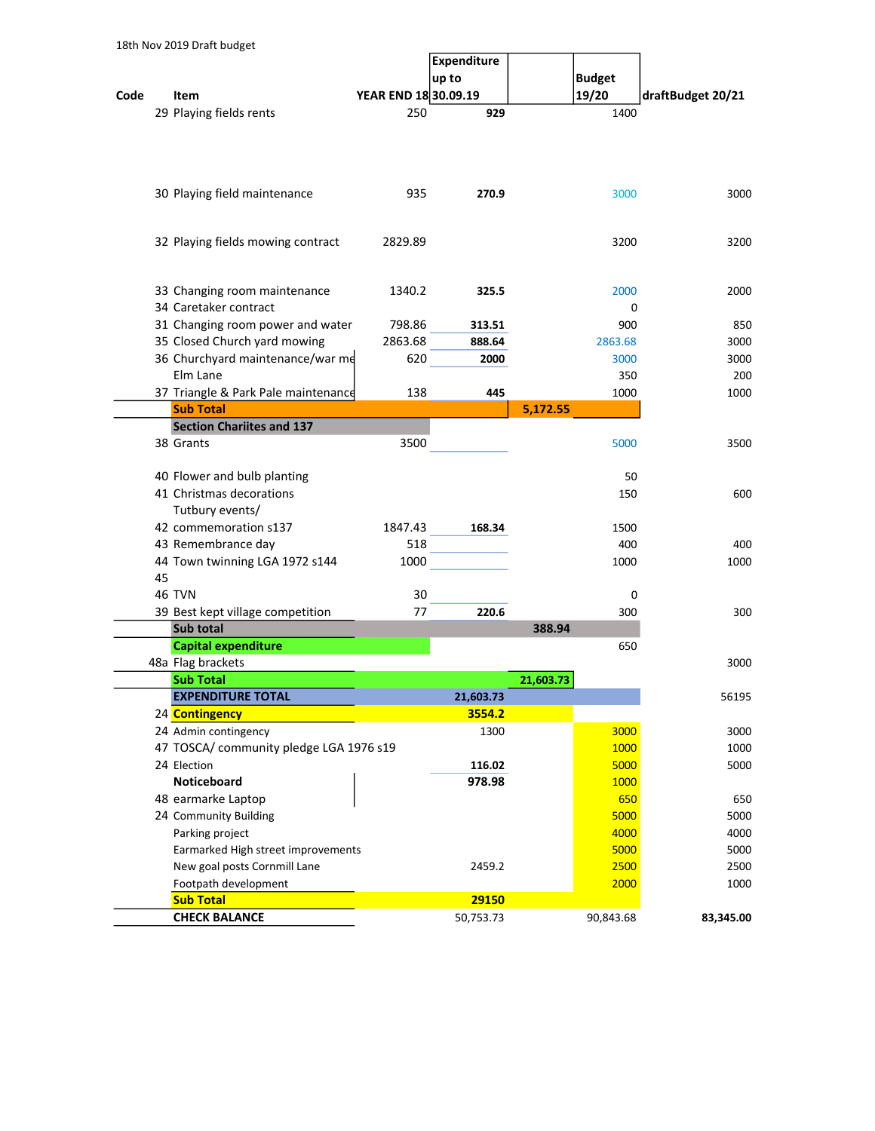|      |    | TOUT NOT ZOIS DIGIL DUUGLL              |                      | Expenditure |           |               |                   |
|------|----|-----------------------------------------|----------------------|-------------|-----------|---------------|-------------------|
|      |    |                                         |                      | up to       |           | <b>Budget</b> |                   |
| Code |    | Item                                    | YEAR END 18 30.09.19 |             |           | 19/20         | draftBudget 20/21 |
|      |    | 29 Playing fields rents                 | 250                  | 929         |           | 1400          |                   |
|      |    |                                         |                      |             |           |               |                   |
|      |    |                                         |                      |             |           |               |                   |
|      |    | 30 Playing field maintenance            | 935                  | 270.9       |           | 3000          | 3000              |
|      |    | 32 Playing fields mowing contract       | 2829.89              |             |           | 3200          | 3200              |
|      |    | 33 Changing room maintenance            | 1340.2               | 325.5       |           | 2000          | 2000              |
|      |    | 34 Caretaker contract                   |                      |             |           | 0             |                   |
|      |    | 31 Changing room power and water        | 798.86               | 313.51      |           | 900           | 850               |
|      |    | 35 Closed Church yard mowing            | 2863.68              | 888.64      |           | 2863.68       | 3000              |
|      |    | 36 Churchyard maintenance/war me        | 620                  | 2000        |           | 3000          | 3000              |
|      |    | Elm Lane                                |                      |             |           | 350           | 200               |
|      |    | 37 Triangle & Park Pale maintenance     | 138                  | 445         |           | 1000          | 1000              |
|      |    | <b>Sub Total</b>                        |                      |             | 5,172.55  |               |                   |
|      |    | <b>Section Chariites and 137</b>        |                      |             |           |               |                   |
|      |    | 38 Grants                               | 3500                 |             |           | 5000          | 3500              |
|      |    | 40 Flower and bulb planting             |                      |             |           | 50            |                   |
|      |    | 41 Christmas decorations                |                      |             |           | 150           | 600               |
|      |    | Tutbury events/                         |                      |             |           |               |                   |
|      |    | 42 commemoration s137                   | 1847.43              | 168.34      |           | 1500          |                   |
|      |    | 43 Remembrance day                      | 518                  |             |           | 400           | 400               |
|      |    | 44 Town twinning LGA 1972 s144          | 1000                 |             |           | 1000          | 1000              |
|      | 45 | <b>46 TVN</b>                           |                      |             |           |               |                   |
|      |    | 39 Best kept village competition        | 30<br>77             | 220.6       |           | 0<br>300      | 300               |
|      |    | Sub total                               |                      |             | 388.94    |               |                   |
|      |    | <b>Capital expenditure</b>              |                      |             |           | 650           |                   |
|      |    | 48a Flag brackets                       |                      |             |           |               | 3000              |
|      |    | <b>Sub Total</b>                        |                      |             | 21,603.73 |               |                   |
|      |    | <b>EXPENDITURE TOTAL</b>                |                      | 21,603.73   |           |               | 56195             |
|      |    | 24 Contingency                          |                      | 3554.2      |           |               |                   |
|      |    | 24 Admin contingency                    |                      | 1300        |           | 3000          | 3000              |
|      |    | 47 TOSCA/ community pledge LGA 1976 s19 |                      |             |           | 1000          | 1000              |
|      |    | 24 Election                             |                      | 116.02      |           | 5000          | 5000              |
|      |    | Noticeboard                             |                      | 978.98      |           | 1000          |                   |
|      |    | 48 earmarke Laptop                      |                      |             |           | 650           | 650               |
|      |    | 24 Community Building                   |                      |             |           | 5000          | 5000              |
|      |    | Parking project                         |                      |             |           | 4000          | 4000              |
|      |    | Earmarked High street improvements      |                      |             |           | 5000          | 5000              |
|      |    | New goal posts Cornmill Lane            |                      | 2459.2      |           | 2500          | 2500              |
|      |    | Footpath development                    |                      |             |           | 2000          | 1000              |
|      |    | <b>Sub Total</b>                        |                      | 29150       |           |               |                   |
|      |    | <b>CHECK BALANCE</b>                    |                      | 50,753.73   |           | 90,843.68     | 83,345.00         |